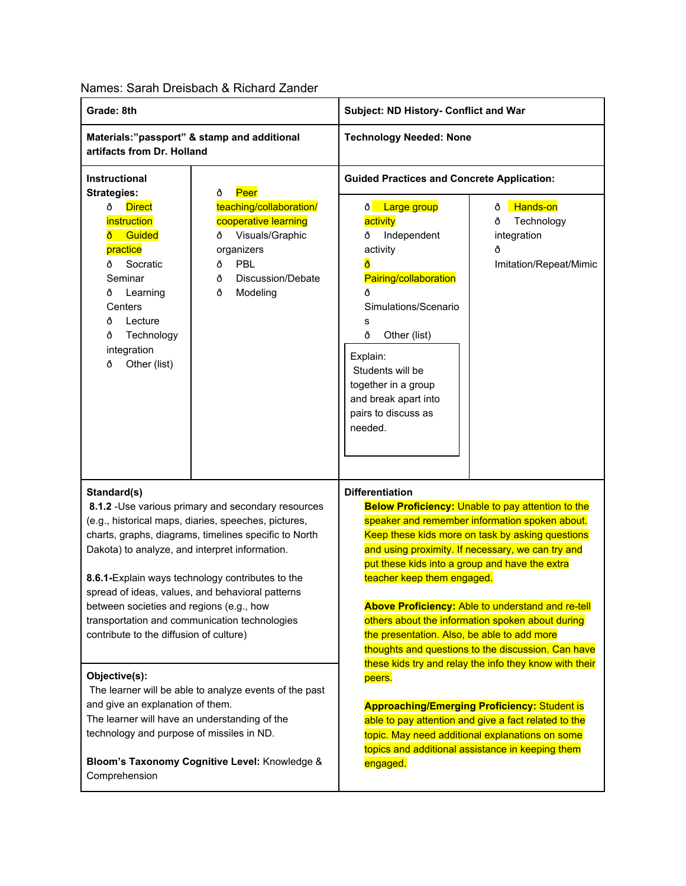## Names: Sarah Dreisbach & Richard Zander

| Grade: 8th                                                                                                                                                                                                                                                                                                                                                                                                                                                                            |                                                                                                                   | Subject: ND History- Conflict and War                                                                                                                                                                                                                                                                                                                                                                                                                                                                                                                                                                 |                                                                                                                                                                |
|---------------------------------------------------------------------------------------------------------------------------------------------------------------------------------------------------------------------------------------------------------------------------------------------------------------------------------------------------------------------------------------------------------------------------------------------------------------------------------------|-------------------------------------------------------------------------------------------------------------------|-------------------------------------------------------------------------------------------------------------------------------------------------------------------------------------------------------------------------------------------------------------------------------------------------------------------------------------------------------------------------------------------------------------------------------------------------------------------------------------------------------------------------------------------------------------------------------------------------------|----------------------------------------------------------------------------------------------------------------------------------------------------------------|
| Materials:"passport" & stamp and additional<br>artifacts from Dr. Holland                                                                                                                                                                                                                                                                                                                                                                                                             |                                                                                                                   | <b>Technology Needed: None</b>                                                                                                                                                                                                                                                                                                                                                                                                                                                                                                                                                                        |                                                                                                                                                                |
| Instructional<br><b>Strategies:</b><br>ð<br><b>Direct</b><br>ð                                                                                                                                                                                                                                                                                                                                                                                                                        | Peer<br>teaching/collaboration/                                                                                   | <b>Guided Practices and Concrete Application:</b><br>ð Large group<br>Hands-on<br>ð                                                                                                                                                                                                                                                                                                                                                                                                                                                                                                                   |                                                                                                                                                                |
| instruction<br>Guided<br>ð<br>practice<br>Socratic<br>ð<br>Seminar<br>ð<br>Learning<br>Centers<br>ð<br>Lecture<br>ð<br>Technology<br>integration<br>Other (list)<br>ð                                                                                                                                                                                                                                                                                                                 | cooperative learning<br>Visuals/Graphic<br>ð<br>organizers<br>PBL<br>ð<br>Discussion/Debate<br>ð<br>Modeling<br>ð | activity<br>Independent<br>Ô<br>activity<br>Pairing/collaboration<br>ð<br>Simulations/Scenario<br>s<br>ð<br>Other (list)<br>Explain:<br>Students will be<br>together in a group<br>and break apart into<br>pairs to discuss as<br>needed.                                                                                                                                                                                                                                                                                                                                                             | Technology<br>ð<br>integration<br>ð<br>Imitation/Repeat/Mimic                                                                                                  |
| Standard(s)<br>8.1.2 - Use various primary and secondary resources<br>(e.g., historical maps, diaries, speeches, pictures,<br>charts, graphs, diagrams, timelines specific to North<br>Dakota) to analyze, and interpret information.<br>8.6.1-Explain ways technology contributes to the<br>spread of ideas, values, and behavioral patterns<br>between societies and regions (e.g., how<br>transportation and communication technologies<br>contribute to the diffusion of culture) |                                                                                                                   | <b>Differentiation</b><br><b>Below Proficiency: Unable to pay attention to the</b><br>speaker and remember information spoken about.<br>Keep these kids more on task by asking questions<br>and using proximity. If necessary, we can try and<br>put these kids into a group and have the extra<br>teacher keep them engaged.<br>Above Proficiency: Able to understand and re-tell<br>others about the information spoken about during<br>the presentation. Also, be able to add more<br>thoughts and questions to the discussion. Can have<br>these kids try and relay the info they know with their |                                                                                                                                                                |
| Objective(s):<br>The learner will be able to analyze events of the past<br>and give an explanation of them.<br>The learner will have an understanding of the<br>technology and purpose of missiles in ND.                                                                                                                                                                                                                                                                             |                                                                                                                   | peers.<br>topics and additional assistance in keeping them                                                                                                                                                                                                                                                                                                                                                                                                                                                                                                                                            | <b>Approaching/Emerging Proficiency: Student is</b><br>able to pay attention and give a fact related to the<br>topic. May need additional explanations on some |
| Bloom's Taxonomy Cognitive Level: Knowledge &<br>Comprehension                                                                                                                                                                                                                                                                                                                                                                                                                        |                                                                                                                   | engaged.                                                                                                                                                                                                                                                                                                                                                                                                                                                                                                                                                                                              |                                                                                                                                                                |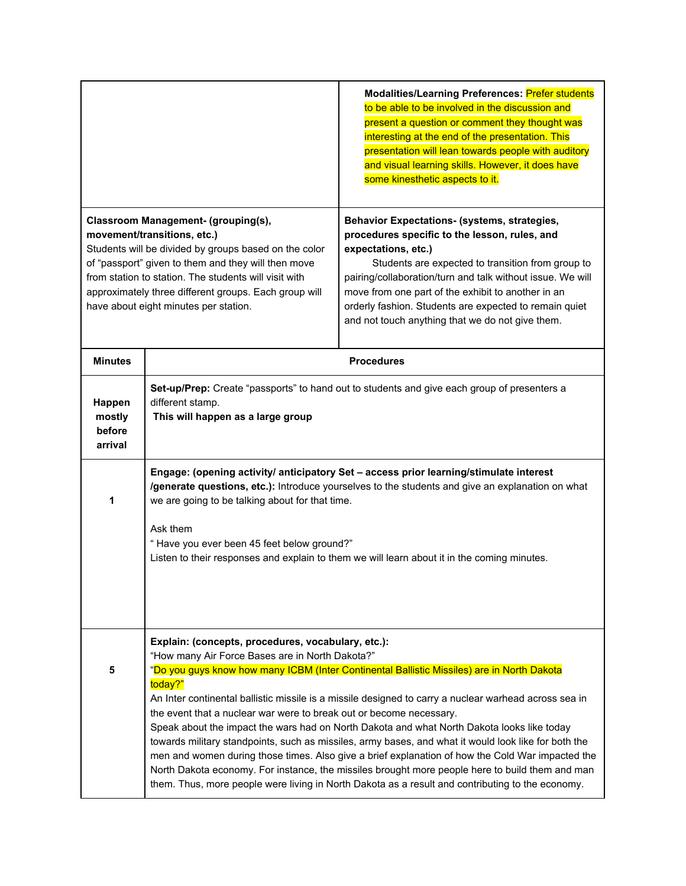|                                                                                                                                                                                                                                                                                                                                                                                                             |                                                                                                                                                                                                                                                                                                                                                                                                                                                                                                                                                                                                                                                                                                                                                                                                                                                                                                                 | Modalities/Learning Preferences: Prefer students<br>to be able to be involved in the discussion and<br>present a question or comment they thought was<br>interesting at the end of the presentation. This<br>presentation will lean towards people with auditory<br>and visual learning skills. However, it does have<br>some kinesthetic aspects to it.                                                           |  |  |
|-------------------------------------------------------------------------------------------------------------------------------------------------------------------------------------------------------------------------------------------------------------------------------------------------------------------------------------------------------------------------------------------------------------|-----------------------------------------------------------------------------------------------------------------------------------------------------------------------------------------------------------------------------------------------------------------------------------------------------------------------------------------------------------------------------------------------------------------------------------------------------------------------------------------------------------------------------------------------------------------------------------------------------------------------------------------------------------------------------------------------------------------------------------------------------------------------------------------------------------------------------------------------------------------------------------------------------------------|--------------------------------------------------------------------------------------------------------------------------------------------------------------------------------------------------------------------------------------------------------------------------------------------------------------------------------------------------------------------------------------------------------------------|--|--|
| Classroom Management- (grouping(s),<br>movement/transitions, etc.)<br>Students will be divided by groups based on the color<br>of "passport" given to them and they will then move<br>from station to station. The students will visit with<br>approximately three different groups. Each group will<br>have about eight minutes per station.                                                               |                                                                                                                                                                                                                                                                                                                                                                                                                                                                                                                                                                                                                                                                                                                                                                                                                                                                                                                 | <b>Behavior Expectations- (systems, strategies,</b><br>procedures specific to the lesson, rules, and<br>expectations, etc.)<br>Students are expected to transition from group to<br>pairing/collaboration/turn and talk without issue. We will<br>move from one part of the exhibit to another in an<br>orderly fashion. Students are expected to remain quiet<br>and not touch anything that we do not give them. |  |  |
| <b>Minutes</b>                                                                                                                                                                                                                                                                                                                                                                                              | <b>Procedures</b>                                                                                                                                                                                                                                                                                                                                                                                                                                                                                                                                                                                                                                                                                                                                                                                                                                                                                               |                                                                                                                                                                                                                                                                                                                                                                                                                    |  |  |
| Happen<br>mostly<br>before<br>arrival                                                                                                                                                                                                                                                                                                                                                                       | Set-up/Prep: Create "passports" to hand out to students and give each group of presenters a<br>different stamp.<br>This will happen as a large group                                                                                                                                                                                                                                                                                                                                                                                                                                                                                                                                                                                                                                                                                                                                                            |                                                                                                                                                                                                                                                                                                                                                                                                                    |  |  |
| Engage: (opening activity/ anticipatory Set - access prior learning/stimulate interest<br>/generate questions, etc.): Introduce yourselves to the students and give an explanation on what<br>we are going to be talking about for that time.<br>1<br>Ask them<br>"Have you ever been 45 feet below ground?"<br>Listen to their responses and explain to them we will learn about it in the coming minutes. |                                                                                                                                                                                                                                                                                                                                                                                                                                                                                                                                                                                                                                                                                                                                                                                                                                                                                                                 |                                                                                                                                                                                                                                                                                                                                                                                                                    |  |  |
| 5                                                                                                                                                                                                                                                                                                                                                                                                           | Explain: (concepts, procedures, vocabulary, etc.):<br>"How many Air Force Bases are in North Dakota?"<br>"Do you guys know how many ICBM (Inter Continental Ballistic Missiles) are in North Dakota<br>today?"<br>An Inter continental ballistic missile is a missile designed to carry a nuclear warhead across sea in<br>the event that a nuclear war were to break out or become necessary.<br>Speak about the impact the wars had on North Dakota and what North Dakota looks like today<br>towards military standpoints, such as missiles, army bases, and what it would look like for both the<br>men and women during those times. Also give a brief explanation of how the Cold War impacted the<br>North Dakota economy. For instance, the missiles brought more people here to build them and man<br>them. Thus, more people were living in North Dakota as a result and contributing to the economy. |                                                                                                                                                                                                                                                                                                                                                                                                                    |  |  |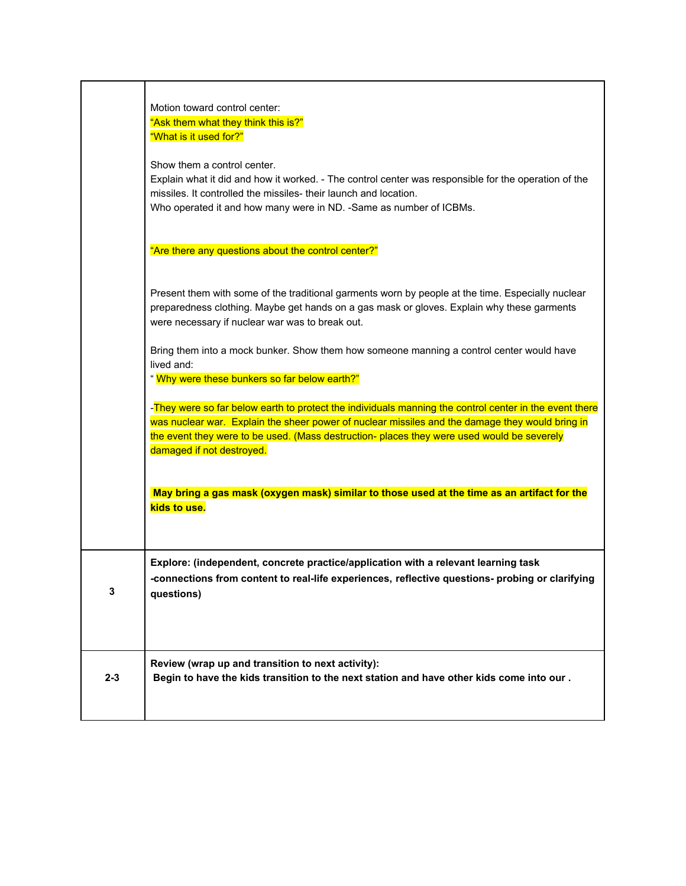|         | Motion toward control center:<br>"Ask them what they think this is?"                                                                                                                                                                                                                                                                 |
|---------|--------------------------------------------------------------------------------------------------------------------------------------------------------------------------------------------------------------------------------------------------------------------------------------------------------------------------------------|
|         | "What is it used for?"                                                                                                                                                                                                                                                                                                               |
|         | Show them a control center.<br>Explain what it did and how it worked. - The control center was responsible for the operation of the<br>missiles. It controlled the missiles- their launch and location.<br>Who operated it and how many were in ND. -Same as number of ICBMs.                                                        |
|         | "Are there any questions about the control center?"                                                                                                                                                                                                                                                                                  |
|         | Present them with some of the traditional garments worn by people at the time. Especially nuclear<br>preparedness clothing. Maybe get hands on a gas mask or gloves. Explain why these garments<br>were necessary if nuclear war was to break out.                                                                                   |
|         | Bring them into a mock bunker. Show them how someone manning a control center would have<br>lived and:                                                                                                                                                                                                                               |
|         | "Why were these bunkers so far below earth?"                                                                                                                                                                                                                                                                                         |
|         | -They were so far below earth to protect the individuals manning the control center in the event there<br>was nuclear war. Explain the sheer power of nuclear missiles and the damage they would bring in<br>the event they were to be used. (Mass destruction- places they were used would be severely<br>damaged if not destroyed. |
|         | May bring a gas mask (oxygen mask) similar to those used at the time as an artifact for the<br>kids to use.                                                                                                                                                                                                                          |
| 3       | Explore: (independent, concrete practice/application with a relevant learning task<br>-connections from content to real-life experiences, reflective questions- probing or clarifying<br>questions)                                                                                                                                  |
|         |                                                                                                                                                                                                                                                                                                                                      |
| $2 - 3$ | Review (wrap up and transition to next activity):<br>Begin to have the kids transition to the next station and have other kids come into our .                                                                                                                                                                                       |